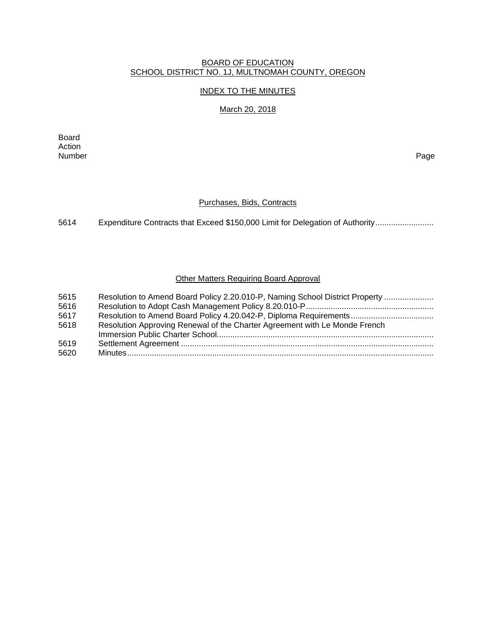#### BOARD OF EDUCATION SCHOOL DISTRICT NO. 1J, MULTNOMAH COUNTY, OREGON

## INDEX TO THE MINUTES

## March 20, 2018

Board Action Number Page

## Purchases, Bids, Contracts

5614 Expenditure Contracts that Exceed \$150,000 Limit for Delegation of Authority ..........................

## Other Matters Requiring Board Approval

| 5615<br>5616 | Resolution to Amend Board Policy 2.20.010-P, Naming School District Property |
|--------------|------------------------------------------------------------------------------|
| 5617         |                                                                              |
| 5618         | Resolution Approving Renewal of the Charter Agreement with Le Monde French   |
|              |                                                                              |
| 5619         |                                                                              |
| 5620         |                                                                              |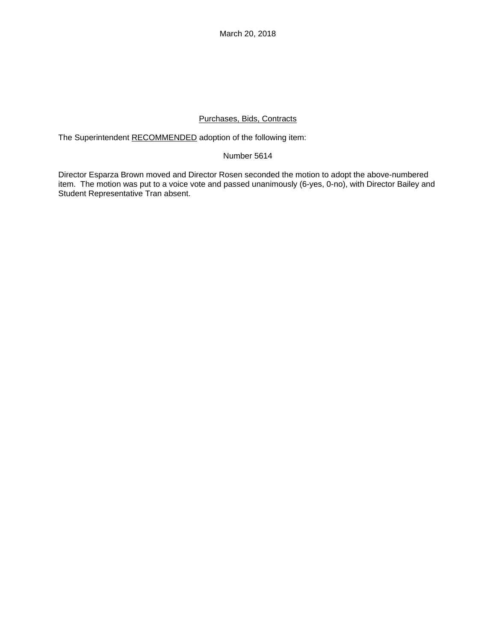March 20, 2018

## Purchases, Bids, Contracts

The Superintendent RECOMMENDED adoption of the following item:

## Number 5614

Director Esparza Brown moved and Director Rosen seconded the motion to adopt the above-numbered item. The motion was put to a voice vote and passed unanimously (6-yes, 0-no), with Director Bailey and Student Representative Tran absent.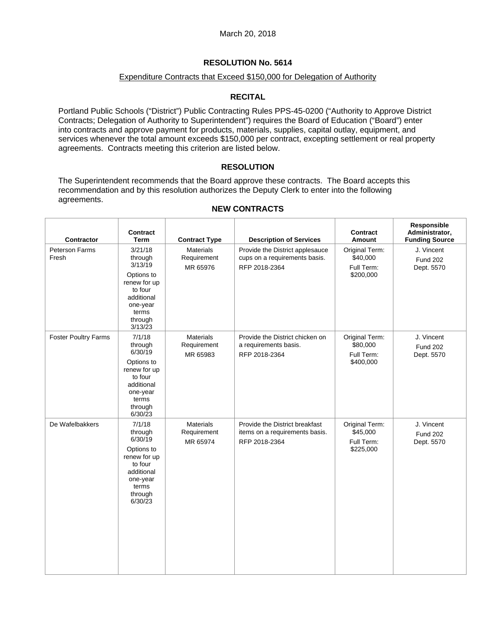## **RESOLUTION No. 5614**

#### Expenditure Contracts that Exceed \$150,000 for Delegation of Authority

## **RECITAL**

Portland Public Schools ("District") Public Contracting Rules PPS-45-0200 ("Authority to Approve District Contracts; Delegation of Authority to Superintendent") requires the Board of Education ("Board") enter into contracts and approve payment for products, materials, supplies, capital outlay, equipment, and services whenever the total amount exceeds \$150,000 per contract, excepting settlement or real property agreements. Contracts meeting this criterion are listed below.

## **RESOLUTION**

The Superintendent recommends that the Board approve these contracts. The Board accepts this recommendation and by this resolution authorizes the Deputy Clerk to enter into the following agreements.

| Contractor                  | Contract<br><b>Term</b>                                                                                                         | <b>Contract Type</b>                        | <b>Description of Services</b>                                                    | Contract<br>Amount                                    | Responsible<br>Administrator,<br><b>Funding Source</b> |
|-----------------------------|---------------------------------------------------------------------------------------------------------------------------------|---------------------------------------------|-----------------------------------------------------------------------------------|-------------------------------------------------------|--------------------------------------------------------|
| Peterson Farms<br>Fresh     | 3/21/18<br>through<br>3/13/19<br>Options to<br>renew for up<br>to four<br>additional<br>one-year<br>terms<br>through<br>3/13/23 | <b>Materials</b><br>Requirement<br>MR 65976 | Provide the District applesauce<br>cups on a requirements basis.<br>RFP 2018-2364 | Original Term:<br>\$40,000<br>Full Term:<br>\$200,000 | J. Vincent<br><b>Fund 202</b><br>Dept. 5570            |
| <b>Foster Poultry Farms</b> | 7/1/18<br>through<br>6/30/19<br>Options to<br>renew for up<br>to four<br>additional<br>one-year<br>terms<br>through<br>6/30/23  | <b>Materials</b><br>Requirement<br>MR 65983 | Provide the District chicken on<br>a requirements basis.<br>RFP 2018-2364         | Original Term:<br>\$80,000<br>Full Term:<br>\$400,000 | J. Vincent<br><b>Fund 202</b><br>Dept. 5570            |
| De Wafelbakkers             | 7/1/18<br>through<br>6/30/19<br>Options to<br>renew for up<br>to four<br>additional<br>one-year<br>terms<br>through<br>6/30/23  | <b>Materials</b><br>Requirement<br>MR 65974 | Provide the District breakfast<br>items on a requirements basis.<br>RFP 2018-2364 | Original Term:<br>\$45,000<br>Full Term:<br>\$225,000 | J. Vincent<br><b>Fund 202</b><br>Dept. 5570            |

#### **NEW CONTRACTS**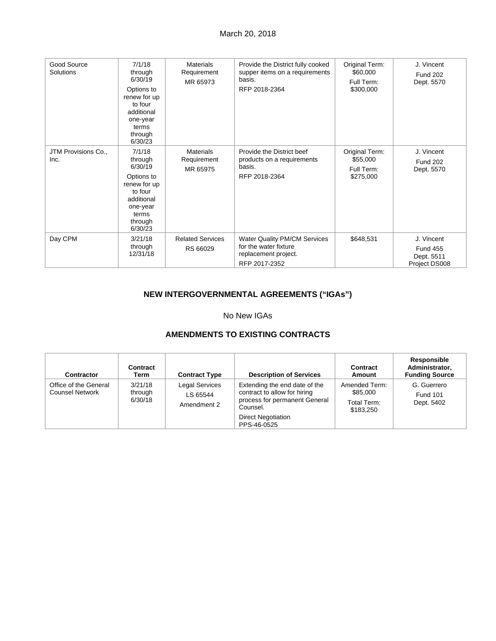## March 20, 2018

| Good Source<br>Solutions    | 7/1/18<br>through<br>6/30/19<br>Options to<br>renew for up<br>to four<br>additional<br>one-year<br>terms<br>through<br>6/30/23 | <b>Materials</b><br>Requirement<br>MR 65973 | Provide the District fully cooked<br>supper items on a requirements<br>basis.<br>RFP 2018-2364        | Original Term:<br>\$60,000<br>Full Term:<br>\$300,000 | J. Vincent<br><b>Fund 202</b><br>Dept. 5570                  |
|-----------------------------|--------------------------------------------------------------------------------------------------------------------------------|---------------------------------------------|-------------------------------------------------------------------------------------------------------|-------------------------------------------------------|--------------------------------------------------------------|
| JTM Provisions Co.,<br>Inc. | 7/1/18<br>through<br>6/30/19<br>Options to<br>renew for up<br>to four<br>additional<br>one-year<br>terms<br>through<br>6/30/23 | <b>Materials</b><br>Requirement<br>MR 65975 | Provide the District beef<br>products on a requirements<br>basis.<br>RFP 2018-2364                    | Original Term:<br>\$55,000<br>Full Term:<br>\$275,000 | J. Vincent<br><b>Fund 202</b><br>Dept. 5570                  |
| Day CPM                     | 3/21/18<br>through<br>12/31/18                                                                                                 | <b>Related Services</b><br>RS 66029         | <b>Water Quality PM/CM Services</b><br>for the water fixture<br>replacement project.<br>RFP 2017-2352 | \$648,531                                             | J. Vincent<br><b>Fund 455</b><br>Dept. 5511<br>Project DS008 |

# **NEW INTERGOVERNMENTAL AGREEMENTS ("IGAs")**

## No New IGAs

## **AMENDMENTS TO EXISTING CONTRACTS**

| Contractor                                      | Contract<br>Term              | <b>Contract Type</b>                             | <b>Description of Services</b>                                                                                                                         | Contract<br><b>Amount</b>                             | <b>Responsible</b><br>Administrator,<br><b>Funding Source</b> |
|-------------------------------------------------|-------------------------------|--------------------------------------------------|--------------------------------------------------------------------------------------------------------------------------------------------------------|-------------------------------------------------------|---------------------------------------------------------------|
| Office of the General<br><b>Counsel Network</b> | 3/21/18<br>through<br>6/30/18 | <b>Legal Services</b><br>LS 65544<br>Amendment 2 | Extending the end date of the<br>contract to allow for hiring<br>process for permanent General<br>Counsel.<br><b>Direct Negotiation</b><br>PPS-46-0525 | Amended Term:<br>\$85,000<br>Total Term:<br>\$183.250 | G. Guerrero<br><b>Fund 101</b><br>Dept. 5402                  |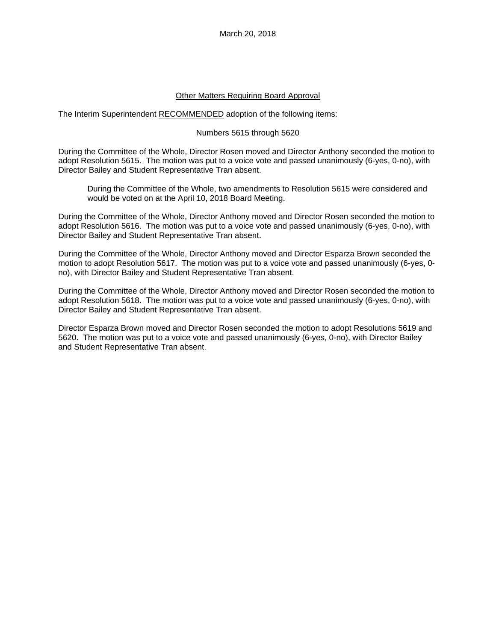## Other Matters Requiring Board Approval

The Interim Superintendent RECOMMENDED adoption of the following items:

#### Numbers 5615 through 5620

During the Committee of the Whole, Director Rosen moved and Director Anthony seconded the motion to adopt Resolution 5615. The motion was put to a voice vote and passed unanimously (6-yes, 0-no), with Director Bailey and Student Representative Tran absent.

During the Committee of the Whole, two amendments to Resolution 5615 were considered and would be voted on at the April 10, 2018 Board Meeting.

During the Committee of the Whole, Director Anthony moved and Director Rosen seconded the motion to adopt Resolution 5616. The motion was put to a voice vote and passed unanimously (6-yes, 0-no), with Director Bailey and Student Representative Tran absent.

During the Committee of the Whole, Director Anthony moved and Director Esparza Brown seconded the motion to adopt Resolution 5617. The motion was put to a voice vote and passed unanimously (6-yes, 0 no), with Director Bailey and Student Representative Tran absent.

During the Committee of the Whole, Director Anthony moved and Director Rosen seconded the motion to adopt Resolution 5618. The motion was put to a voice vote and passed unanimously (6-yes, 0-no), with Director Bailey and Student Representative Tran absent.

Director Esparza Brown moved and Director Rosen seconded the motion to adopt Resolutions 5619 and 5620. The motion was put to a voice vote and passed unanimously (6-yes, 0-no), with Director Bailey and Student Representative Tran absent.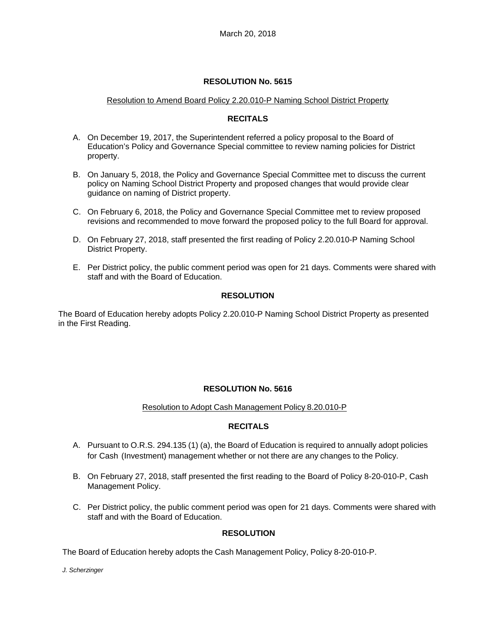## **RESOLUTION No. 5615**

## Resolution to Amend Board Policy 2.20.010-P Naming School District Property

#### **RECITALS**

- A. On December 19, 2017, the Superintendent referred a policy proposal to the Board of Education's Policy and Governance Special committee to review naming policies for District property.
- B. On January 5, 2018, the Policy and Governance Special Committee met to discuss the current policy on Naming School District Property and proposed changes that would provide clear guidance on naming of District property.
- C. On February 6, 2018, the Policy and Governance Special Committee met to review proposed revisions and recommended to move forward the proposed policy to the full Board for approval.
- D. On February 27, 2018, staff presented the first reading of Policy 2.20.010-P Naming School District Property.
- E. Per District policy, the public comment period was open for 21 days. Comments were shared with staff and with the Board of Education.

## **RESOLUTION**

The Board of Education hereby adopts Policy 2.20.010-P Naming School District Property as presented in the First Reading.

## **RESOLUTION No. 5616**

## Resolution to Adopt Cash Management Policy 8.20.010-P

## **RECITALS**

- A. Pursuant to O.R.S. 294.135 (1) (a), the Board of Education is required to annually adopt policies for Cash (Investment) management whether or not there are any changes to the Policy.
- B. On February 27, 2018, staff presented the first reading to the Board of Policy 8-20-010-P, Cash Management Policy.
- C. Per District policy, the public comment period was open for 21 days. Comments were shared with staff and with the Board of Education.

## **RESOLUTION**

The Board of Education hereby adopts the Cash Management Policy, Policy 8-20-010-P.

*J. Scherzinger*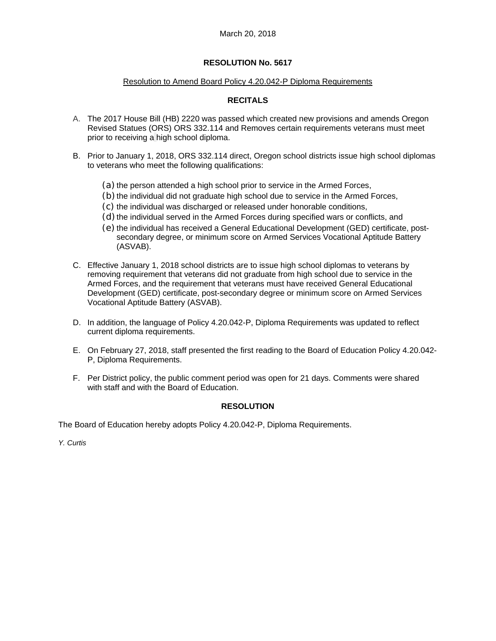## **RESOLUTION No. 5617**

#### Resolution to Amend Board Policy 4.20.042-P Diploma Requirements

## **RECITALS**

- A. The 2017 House Bill (HB) 2220 was passed which created new provisions and amends Oregon Revised Statues (ORS) ORS 332.114 and Removes certain requirements veterans must meet prior to receiving a high school diploma.
- B. Prior to January 1, 2018, ORS 332.114 direct, Oregon school districts issue high school diplomas to veterans who meet the following qualifications:
	- (a) the person attended a high school prior to service in the Armed Forces,
	- (b) the individual did not graduate high school due to service in the Armed Forces,
	- (c) the individual was discharged or released under honorable conditions,
	- (d) the individual served in the Armed Forces during specified wars or conflicts, and
	- (e) the individual has received a General Educational Development (GED) certificate, postsecondary degree, or minimum score on Armed Services Vocational Aptitude Battery (ASVAB).
- C. Effective January 1, 2018 school districts are to issue high school diplomas to veterans by removing requirement that veterans did not graduate from high school due to service in the Armed Forces, and the requirement that veterans must have received General Educational Development (GED) certificate, post-secondary degree or minimum score on Armed Services Vocational Aptitude Battery (ASVAB).
- D. In addition, the language of Policy 4.20.042-P, Diploma Requirements was updated to reflect current diploma requirements.
- E. On February 27, 2018, staff presented the first reading to the Board of Education Policy 4.20.042- P, Diploma Requirements.
- F. Per District policy, the public comment period was open for 21 days. Comments were shared with staff and with the Board of Education.

## **RESOLUTION**

The Board of Education hereby adopts Policy 4.20.042-P, Diploma Requirements.

*Y. Curtis*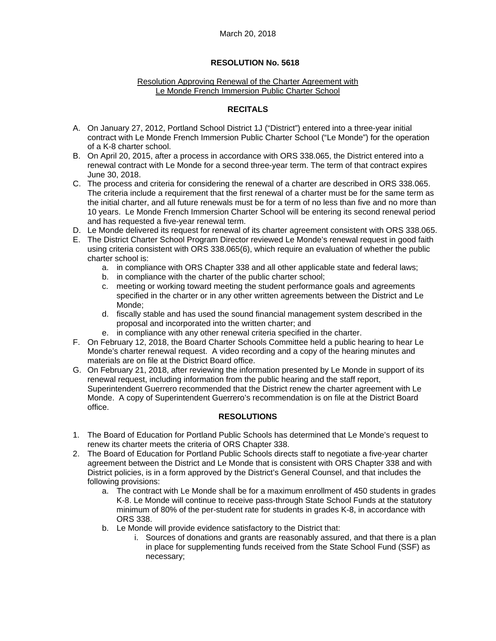#### March 20, 2018

#### **RESOLUTION No. 5618**

#### Resolution Approving Renewal of the Charter Agreement with Le Monde French Immersion Public Charter School

## **RECITALS**

- A. On January 27, 2012, Portland School District 1J ("District") entered into a three-year initial contract with Le Monde French Immersion Public Charter School ("Le Monde") for the operation of a K-8 charter school.
- B. On April 20, 2015, after a process in accordance with ORS 338.065, the District entered into a renewal contract with Le Monde for a second three-year term. The term of that contract expires June 30, 2018.
- C. The process and criteria for considering the renewal of a charter are described in ORS 338.065. The criteria include a requirement that the first renewal of a charter must be for the same term as the initial charter, and all future renewals must be for a term of no less than five and no more than 10 years. Le Monde French Immersion Charter School will be entering its second renewal period and has requested a five-year renewal term.
- D. Le Monde delivered its request for renewal of its charter agreement consistent with ORS 338.065.
- E. The District Charter School Program Director reviewed Le Monde's renewal request in good faith using criteria consistent with ORS 338.065(6), which require an evaluation of whether the public charter school is:
	- a. in compliance with ORS Chapter 338 and all other applicable state and federal laws;
	- b. in compliance with the charter of the public charter school;
	- c. meeting or working toward meeting the student performance goals and agreements specified in the charter or in any other written agreements between the District and Le Monde;
	- d. fiscally stable and has used the sound financial management system described in the proposal and incorporated into the written charter; and
	- e. in compliance with any other renewal criteria specified in the charter.
- F. On February 12, 2018, the Board Charter Schools Committee held a public hearing to hear Le Monde's charter renewal request. A video recording and a copy of the hearing minutes and materials are on file at the District Board office.
- G. On February 21, 2018, after reviewing the information presented by Le Monde in support of its renewal request, including information from the public hearing and the staff report, Superintendent Guerrero recommended that the District renew the charter agreement with Le Monde. A copy of Superintendent Guerrero's recommendation is on file at the District Board office.

## **RESOLUTIONS**

- 1. The Board of Education for Portland Public Schools has determined that Le Monde's request to renew its charter meets the criteria of ORS Chapter 338.
- 2. The Board of Education for Portland Public Schools directs staff to negotiate a five-year charter agreement between the District and Le Monde that is consistent with ORS Chapter 338 and with District policies, is in a form approved by the District's General Counsel, and that includes the following provisions:
	- a. The contract with Le Monde shall be for a maximum enrollment of 450 students in grades K-8. Le Monde will continue to receive pass-through State School Funds at the statutory minimum of 80% of the per-student rate for students in grades K-8, in accordance with ORS 338.
	- b. Le Monde will provide evidence satisfactory to the District that:
		- i. Sources of donations and grants are reasonably assured, and that there is a plan in place for supplementing funds received from the State School Fund (SSF) as necessary;